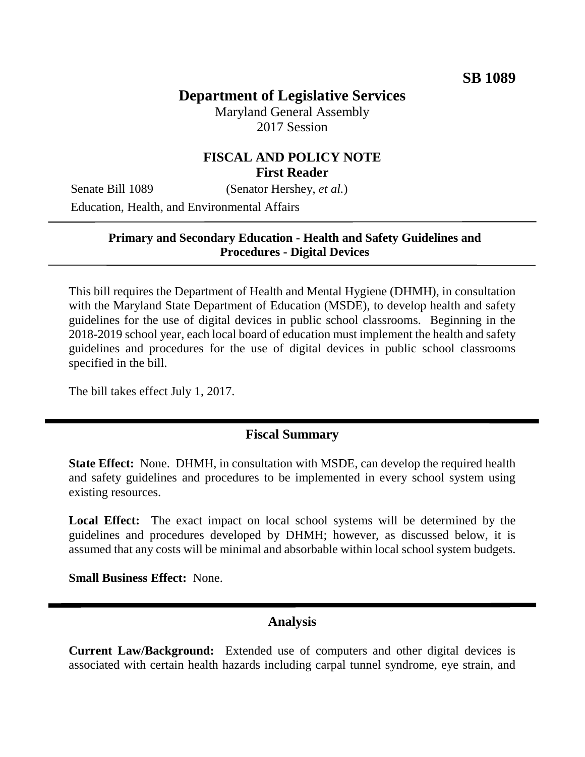# **Department of Legislative Services**

Maryland General Assembly 2017 Session

## **FISCAL AND POLICY NOTE First Reader**

Senate Bill 1089 (Senator Hershey, *et al.*) Education, Health, and Environmental Affairs

#### **Primary and Secondary Education - Health and Safety Guidelines and Procedures - Digital Devices**

This bill requires the Department of Health and Mental Hygiene (DHMH), in consultation with the Maryland State Department of Education (MSDE), to develop health and safety guidelines for the use of digital devices in public school classrooms. Beginning in the 2018-2019 school year, each local board of education must implement the health and safety guidelines and procedures for the use of digital devices in public school classrooms specified in the bill.

The bill takes effect July 1, 2017.

#### **Fiscal Summary**

**State Effect:** None. DHMH, in consultation with MSDE, can develop the required health and safety guidelines and procedures to be implemented in every school system using existing resources.

**Local Effect:** The exact impact on local school systems will be determined by the guidelines and procedures developed by DHMH; however, as discussed below, it is assumed that any costs will be minimal and absorbable within local school system budgets.

**Small Business Effect:** None.

## **Analysis**

**Current Law/Background:** Extended use of computers and other digital devices is associated with certain health hazards including carpal tunnel syndrome, eye strain, and